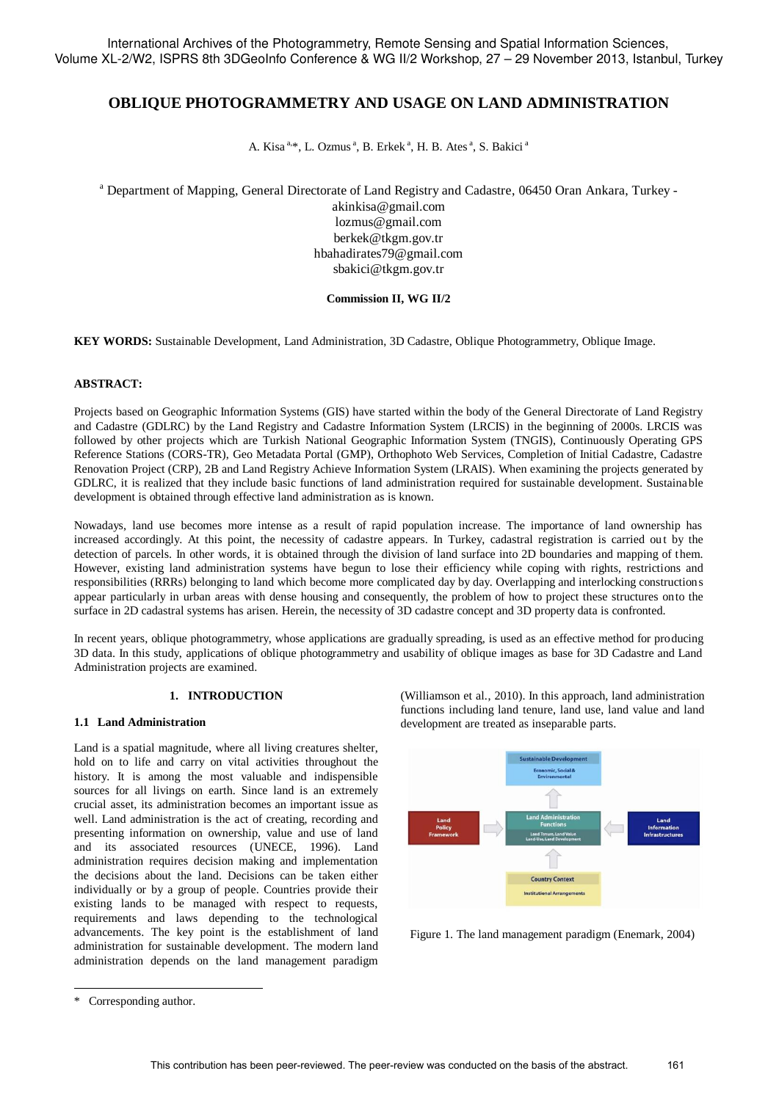# **OBLIQUE PHOTOGRAMMETRY AND USAGE ON LAND ADMINISTRATION**

A. Kisa<sup>a,\*</sup>, L. Ozmus<sup>a</sup>, B. Erkek<sup>a</sup>, H. B. Ates<sup>a</sup>, S. Bakici<sup>a</sup>

<sup>a</sup> Department of Mapping, General Directorate of Land Registry and Cadastre, 06450 Oran Ankara, Turkey -

akinkisa@gmail.com lozmus@gmail.com berkek@tkgm.gov.tr hbahadirates79@gmail.com sbakici@tkgm.gov.tr

### **Commission II, WG II/2**

**KEY WORDS:** Sustainable Development, Land Administration, 3D Cadastre, Oblique Photogrammetry, Oblique Image.

### **ABSTRACT:**

Projects based on Geographic Information Systems (GIS) have started within the body of the General Directorate of Land Registry and Cadastre (GDLRC) by the Land Registry and Cadastre Information System (LRCIS) in the beginning of 2000s. LRCIS was followed by other projects which are Turkish National Geographic Information System (TNGIS), Continuously Operating GPS Reference Stations (CORS-TR), Geo Metadata Portal (GMP), Orthophoto Web Services, Completion of Initial Cadastre, Cadastre Renovation Project (CRP), 2B and Land Registry Achieve Information System (LRAIS). When examining the projects generated by GDLRC, it is realized that they include basic functions of land administration required for sustainable development. Sustainable development is obtained through effective land administration as is known.

Nowadays, land use becomes more intense as a result of rapid population increase. The importance of land ownership has increased accordingly. At this point, the necessity of cadastre appears. In Turkey, cadastral registration is carried out by the detection of parcels. In other words, it is obtained through the division of land surface into 2D boundaries and mapping of them. However, existing land administration systems have begun to lose their efficiency while coping with rights, restrictions and responsibilities (RRRs) belonging to land which become more complicated day by day. Overlapping and interlocking constructions appear particularly in urban areas with dense housing and consequently, the problem of how to project these structures onto the surface in 2D cadastral systems has arisen. Herein, the necessity of 3D cadastre concept and 3D property data is confronted.

In recent years, oblique photogrammetry, whose applications are gradually spreading, is used as an effective method for producing 3D data. In this study, applications of oblique photogrammetry and usability of oblique images as base for 3D Cadastre and Land Administration projects are examined.

## **1. INTRODUCTION**

### **1.1 Land Administration**

Land is a spatial magnitude, where all living creatures shelter, hold on to life and carry on vital activities throughout the history. It is among the most valuable and indispensible sources for all livings on earth. Since land is an extremely crucial asset, its administration becomes an important issue as well. Land administration is the act of creating, recording and presenting information on ownership, value and use of land and its associated resources (UNECE, 1996). Land administration requires decision making and implementation the decisions about the land. Decisions can be taken either individually or by a group of people. Countries provide their existing lands to be managed with respect to requests, requirements and laws depending to the technological advancements. The key point is the establishment of land administration for sustainable development. The modern land administration depends on the land management paradigm (Williamson et al., 2010). In this approach, land administration functions including land tenure, land use, land value and land development are treated as inseparable parts.



Figure 1. The land management paradigm (Enemark, 2004)

-

<sup>\*</sup> Corresponding author.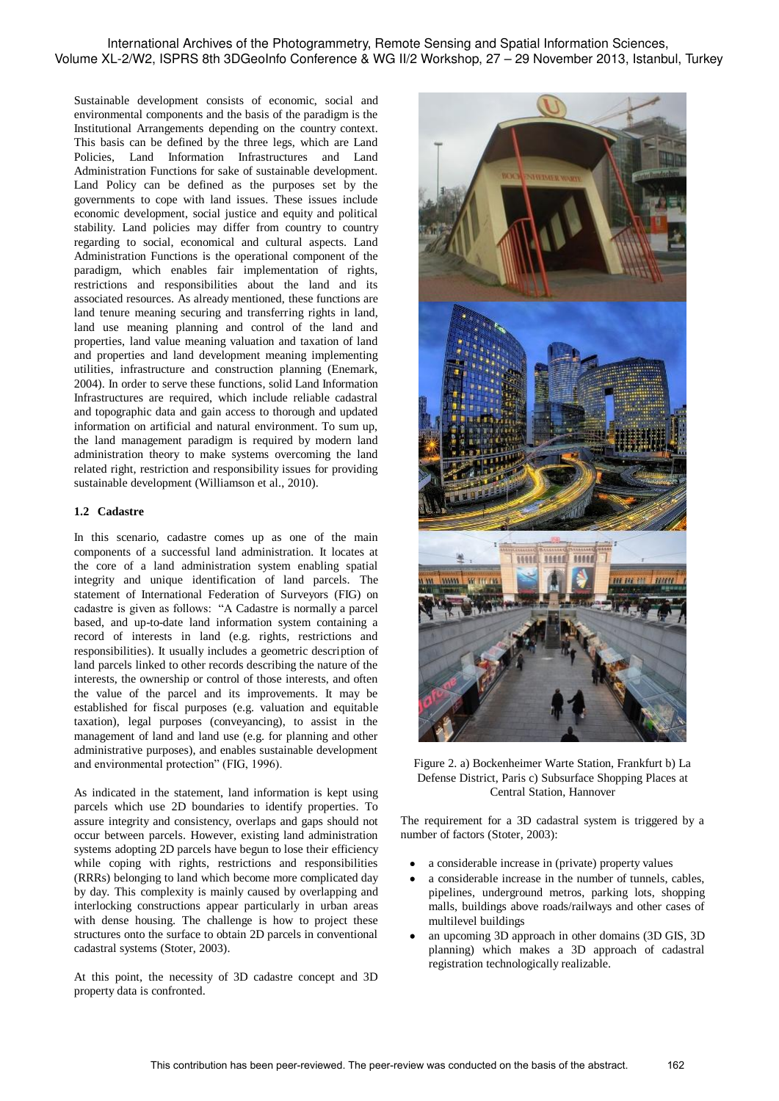Sustainable development consists of economic, social and environmental components and the basis of the paradigm is the Institutional Arrangements depending on the country context. This basis can be defined by the three legs, which are Land Policies, Land Information Infrastructures and Land Administration Functions for sake of sustainable development. Land Policy can be defined as the purposes set by the governments to cope with land issues. These issues include economic development, social justice and equity and political stability. Land policies may differ from country to country regarding to social, economical and cultural aspects. Land Administration Functions is the operational component of the paradigm, which enables fair implementation of rights, restrictions and responsibilities about the land and its associated resources. As already mentioned, these functions are land tenure meaning securing and transferring rights in land, land use meaning planning and control of the land and properties, land value meaning valuation and taxation of land and properties and land development meaning implementing utilities, infrastructure and construction planning (Enemark, 2004). In order to serve these functions, solid Land Information Infrastructures are required, which include reliable cadastral and topographic data and gain access to thorough and updated information on artificial and natural environment. To sum up, the land management paradigm is required by modern land administration theory to make systems overcoming the land related right, restriction and responsibility issues for providing sustainable development (Williamson et al., 2010).

## **1.2 Cadastre**

In this scenario, cadastre comes up as one of the main components of a successful land administration. It locates at the core of a land administration system enabling spatial integrity and unique identification of land parcels. The statement of International Federation of Surveyors (FIG) on cadastre is given as follows: "A Cadastre is normally a parcel based, and up-to-date land information system containing a record of interests in land (e.g. rights, restrictions and responsibilities). It usually includes a geometric description of land parcels linked to other records describing the nature of the interests, the ownership or control of those interests, and often the value of the parcel and its improvements. It may be established for fiscal purposes (e.g. valuation and equitable taxation), legal purposes (conveyancing), to assist in the management of land and land use (e.g. for planning and other administrative purposes), and enables sustainable development and environmental protection" (FIG, 1996).

As indicated in the statement, land information is kept using parcels which use 2D boundaries to identify properties. To assure integrity and consistency, overlaps and gaps should not occur between parcels. However, existing land administration systems adopting 2D parcels have begun to lose their efficiency while coping with rights, restrictions and responsibilities (RRRs) belonging to land which become more complicated day by day. This complexity is mainly caused by overlapping and interlocking constructions appear particularly in urban areas with dense housing. The challenge is how to project these structures onto the surface to obtain 2D parcels in conventional cadastral systems (Stoter, 2003).

At this point, the necessity of 3D cadastre concept and 3D property data is confronted.



Figure 2. a) Bockenheimer Warte Station, Frankfurt b) La Defense District, Paris c) Subsurface Shopping Places at Central Station, Hannover

The requirement for a 3D cadastral system is triggered by a number of factors (Stoter, 2003):

- a considerable increase in (private) property values
- a considerable increase in the number of tunnels, cables, pipelines, underground metros, parking lots, shopping malls, buildings above roads/railways and other cases of multilevel buildings
- an upcoming 3D approach in other domains (3D GIS, 3D planning) which makes a 3D approach of cadastral registration technologically realizable.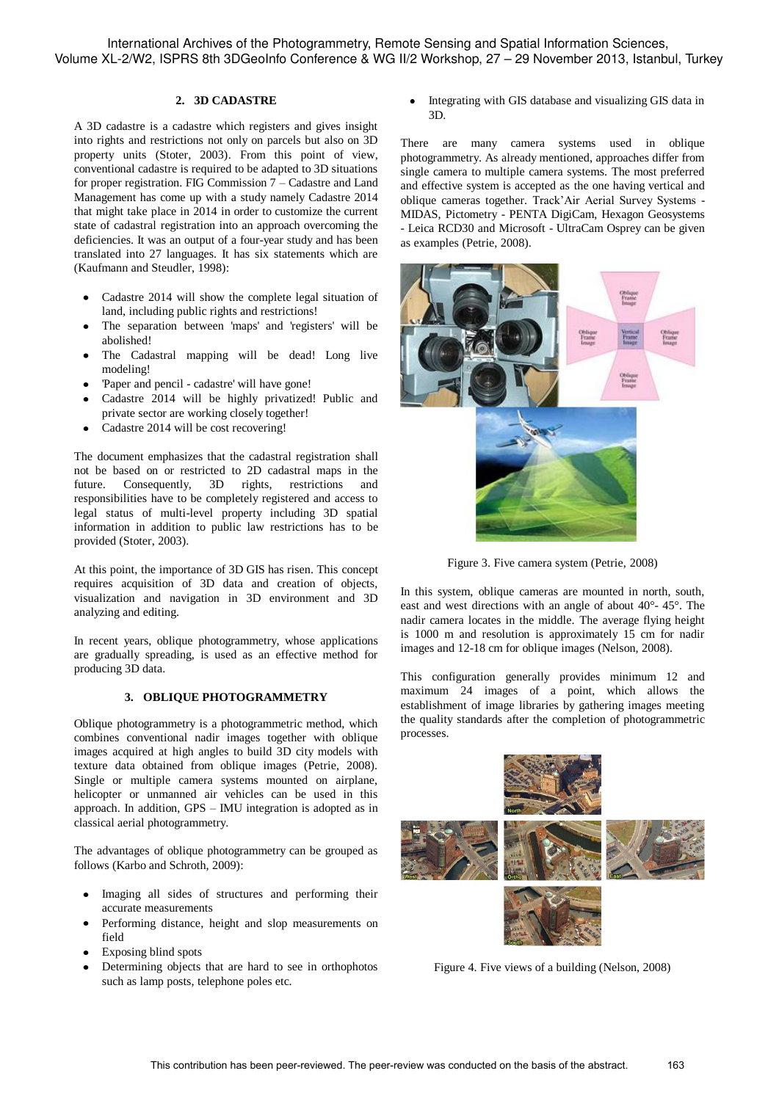International Archives of the Photogrammetry, Remote Sensing and Spatial Information Sciences, Volume XL-2/W2, ISPRS 8th 3DGeoInfo Conference & WG II/2 Workshop, 27 – 29 November 2013, Istanbul, Turkey

#### **2. 3D CADASTRE**

A 3D cadastre is a cadastre which registers and gives insight into rights and restrictions not only on parcels but also on 3D property units (Stoter, 2003). From this point of view, conventional cadastre is required to be adapted to 3D situations for proper registration. FIG Commission 7 – Cadastre and Land Management has come up with a study namely Cadastre 2014 that might take place in 2014 in order to customize the current state of cadastral registration into an approach overcoming the deficiencies. It was an output of a four-year study and has been translated into 27 languages. It has six statements which are (Kaufmann and Steudler, 1998):

- Cadastre 2014 will show the complete legal situation of land, including public rights and restrictions!
- The separation between 'maps' and 'registers' will be abolished!
- The Cadastral mapping will be dead! Long live modeling!
- 'Paper and pencil cadastre' will have gone!
- Cadastre 2014 will be highly privatized! Public and private sector are working closely together!
- Cadastre 2014 will be cost recovering!

The document emphasizes that the cadastral registration shall not be based on or restricted to 2D cadastral maps in the future. Consequently, 3D rights, restrictions and responsibilities have to be completely registered and access to legal status of multi-level property including 3D spatial information in addition to public law restrictions has to be provided (Stoter, 2003).

At this point, the importance of 3D GIS has risen. This concept requires acquisition of 3D data and creation of objects, visualization and navigation in 3D environment and 3D analyzing and editing.

In recent years, oblique photogrammetry, whose applications are gradually spreading, is used as an effective method for producing 3D data.

## **3. OBLIQUE PHOTOGRAMMETRY**

Oblique photogrammetry is a photogrammetric method, which combines conventional nadir images together with oblique images acquired at high angles to build 3D city models with texture data obtained from oblique images (Petrie, 2008). Single or multiple camera systems mounted on airplane, helicopter or unmanned air vehicles can be used in this approach. In addition, GPS – IMU integration is adopted as in classical aerial photogrammetry.

The advantages of oblique photogrammetry can be grouped as follows (Karbo and Schroth, 2009):

- Imaging all sides of structures and performing their accurate measurements
- Performing distance, height and slop measurements on field
- Exposing blind spots
- Determining objects that are hard to see in orthophotos such as lamp posts, telephone poles etc.

Integrating with GIS database and visualizing GIS data in 3D.

There are many camera systems used in oblique photogrammetry. As already mentioned, approaches differ from single camera to multiple camera systems. The most preferred and effective system is accepted as the one having vertical and oblique cameras together. Track'Air Aerial Survey Systems - MIDAS, Pictometry - PENTA DigiCam, Hexagon Geosystems - Leica RCD30 and Microsoft - UltraCam Osprey can be given as examples (Petrie, 2008).



Figure 3. Five camera system (Petrie, 2008)

In this system, oblique cameras are mounted in north, south, east and west directions with an angle of about 40°- 45°. The nadir camera locates in the middle. The average flying height is 1000 m and resolution is approximately 15 cm for nadir images and 12-18 cm for oblique images (Nelson, 2008).

This configuration generally provides minimum 12 and maximum 24 images of a point, which allows the establishment of image libraries by gathering images meeting the quality standards after the completion of photogrammetric processes.



Figure 4. Five views of a building (Nelson, 2008)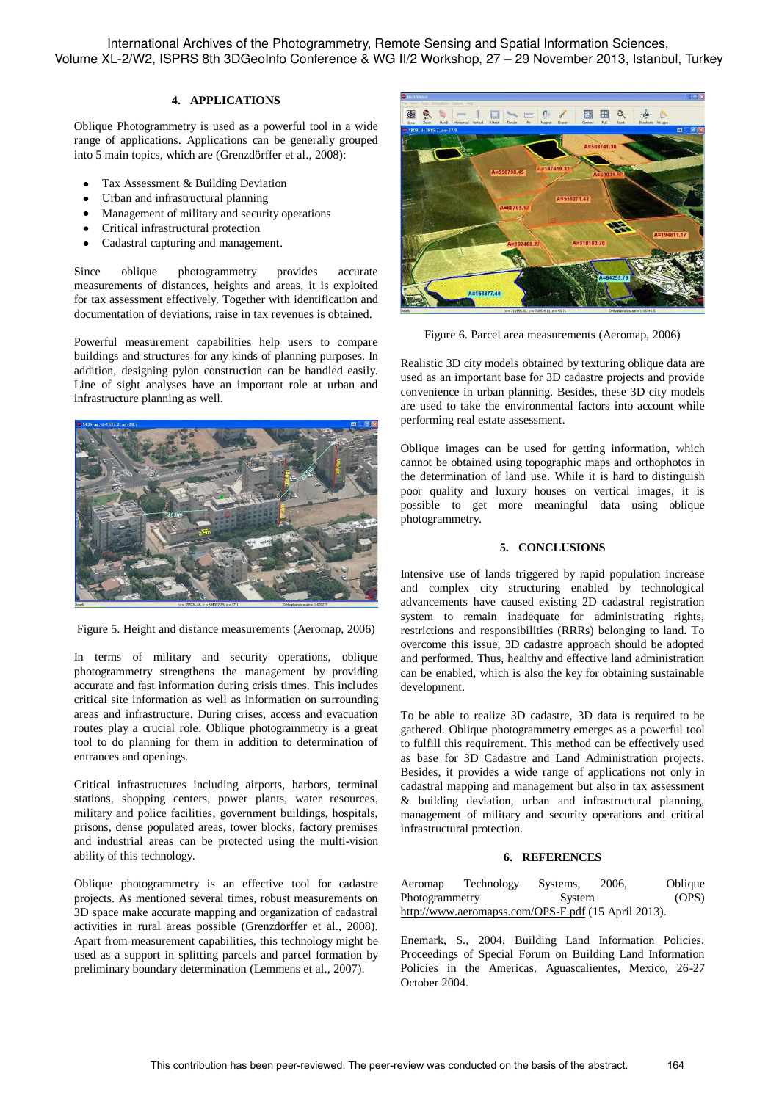International Archives of the Photogrammetry, Remote Sensing and Spatial Information Sciences, Volume XL-2/W2, ISPRS 8th 3DGeoInfo Conference & WG II/2 Workshop, 27 – 29 November 2013, Istanbul, Turkey

### **4. APPLICATIONS**

Oblique Photogrammetry is used as a powerful tool in a wide range of applications. Applications can be generally grouped into 5 main topics, which are (Grenzdörffer et al., 2008):

- Tax Assessment & Building Deviation
- $\bullet$ Urban and infrastructural planning
- $\bullet$ Management of military and security operations
- $\bullet$ Critical infrastructural protection
- $\bullet$ Cadastral capturing and management.

Since oblique photogrammetry provides accurate measurements of distances, heights and areas, it is exploited for tax assessment effectively. Together with identification and documentation of deviations, raise in tax revenues is obtained.

Powerful measurement capabilities help users to compare buildings and structures for any kinds of planning purposes. In addition, designing pylon construction can be handled easily. Line of sight analyses have an important role at urban and infrastructure planning as well.





In terms of military and security operations, oblique photogrammetry strengthens the management by providing accurate and fast information during crisis times. This includes critical site information as well as information on surrounding areas and infrastructure. During crises, access and evacuation routes play a crucial role. Oblique photogrammetry is a great tool to do planning for them in addition to determination of entrances and openings.

Critical infrastructures including airports, harbors, terminal stations, shopping centers, power plants, water resources, military and police facilities, government buildings, hospitals, prisons, dense populated areas, tower blocks, factory premises and industrial areas can be protected using the multi-vision ability of this technology.

Oblique photogrammetry is an effective tool for cadastre projects. As mentioned several times, robust measurements on 3D space make accurate mapping and organization of cadastral activities in rural areas possible (Grenzdörffer et al., 2008). Apart from measurement capabilities, this technology might be used as a support in splitting parcels and parcel formation by preliminary boundary determination (Lemmens et al., 2007).



Figure 6. Parcel area measurements (Aeromap, 2006)

Realistic 3D city models obtained by texturing oblique data are used as an important base for 3D cadastre projects and provide convenience in urban planning. Besides, these 3D city models are used to take the environmental factors into account while performing real estate assessment.

Oblique images can be used for getting information, which cannot be obtained using topographic maps and orthophotos in the determination of land use. While it is hard to distinguish poor quality and luxury houses on vertical images, it is possible to get more meaningful data using oblique photogrammetry.

#### **5. CONCLUSIONS**

Intensive use of lands triggered by rapid population increase and complex city structuring enabled by technological advancements have caused existing 2D cadastral registration system to remain inadequate for administrating rights, restrictions and responsibilities (RRRs) belonging to land. To overcome this issue, 3D cadastre approach should be adopted and performed. Thus, healthy and effective land administration can be enabled, which is also the key for obtaining sustainable development.

To be able to realize 3D cadastre, 3D data is required to be gathered. Oblique photogrammetry emerges as a powerful tool to fulfill this requirement. This method can be effectively used as base for 3D Cadastre and Land Administration projects. Besides, it provides a wide range of applications not only in cadastral mapping and management but also in tax assessment & building deviation, urban and infrastructural planning, management of military and security operations and critical infrastructural protection.

#### **6. REFERENCES**

| Aeromap                                             | Technology | Systems, | 2006. | Oblique |
|-----------------------------------------------------|------------|----------|-------|---------|
| Photogrammetry                                      |            | System   |       | (OPS)   |
| http://www.aeromapss.com/OPS-F.pdf (15 April 2013). |            |          |       |         |

Enemark, S., 2004, Building Land Information Policies. Proceedings of Special Forum on Building Land Information Policies in the Americas. Aguascalientes, Mexico, 26-27 October 2004.